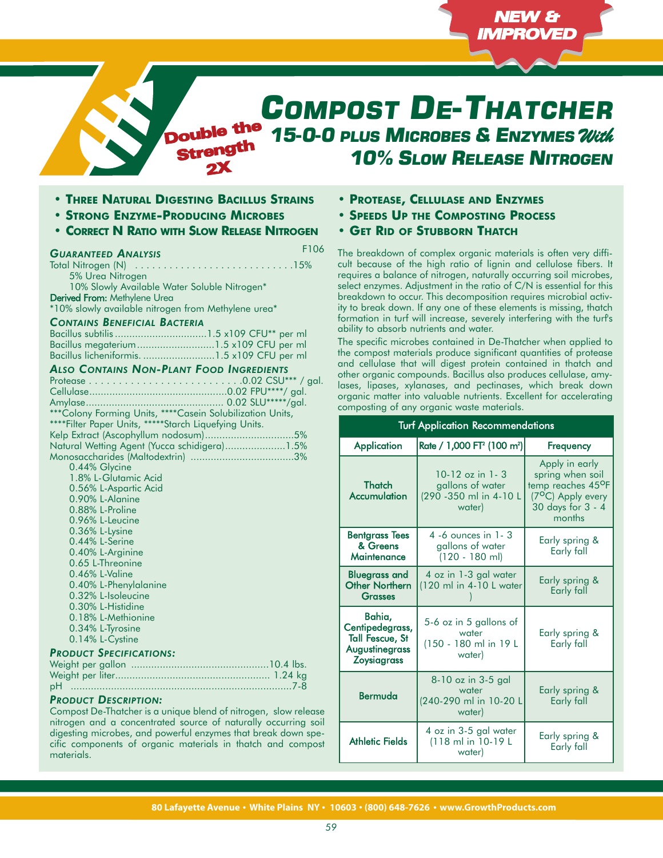# *COMPOST DE-THATCHER 15-0-0 PLUS MICROBES & ENZYMES With* Double the *10% SLOW RELEASE NITROGEN* Strength

**• THREE NATURAL DIGESTING BACILLUS STRAINS**

2X

- **• STRONG ENZYME-PRODUCING MICROBES**
- **• CORRECT N RATIO WITH SLOW RELEASE NITROGEN**

### *GUARANTEED ANALYSIS*

F106

Total Nitrogen (N) . . . . . . . . . . . . . . . . . . . . . . . . . . . .15% 5% Urea Nitrogen 10% Slowly Available Water Soluble Nitrogen\* Derived From: Methylene Urea

\*10% slowly available nitrogen from Methylene urea\*

# *CONTAINS BENEFICIAL BACTERIA*

#### *ALSO CONTAINS NON-PLANT FOOD INGREDIENTS*

| *** Colony Forming Units, **** Casein Solubilization Units, |  |
|-------------------------------------------------------------|--|
| ****Filter Paper Units, *****Starch Liquefying Units.       |  |
|                                                             |  |
| Natural Wetting Agent (Yucca schidigera)1.5%                |  |
|                                                             |  |
| 0.44% Glycine                                               |  |

| $0.7770$ UITU              |
|----------------------------|
| 1.8% L-Glutamic Acid       |
| 0.56% L-Aspartic Acid      |
| 0.90% L-Alanine            |
| 0.88% L-Proline            |
| 0.96% L-Leucine            |
| 0.36% L-Lysine             |
| 0.44% L-Serine             |
| 0.40% L-Arginine           |
| 0.65 L-Threonine           |
| $0.46\%$ L-Valine          |
| 0.40% L-Phenylalanine      |
| 0.32% L-Isoleucine         |
| 0.30% L-Histidine          |
| 0.18% L-Methionine         |
| 0.34% L-Tyrosine           |
| 0.14% L-Cystine            |
| $nonier$ Carcicles<br>T(A) |

# *PRODUCT SPECIFICATIONS:*

# *PRODUCT DESCRIPTION:*

Compost De-Thatcher is a unique blend of nitrogen, slow release nitrogen and a concentrated source of naturally occurring soil digesting microbes, and powerful enzymes that break down specific components of organic materials in thatch and compost materials.

- **• PROTEASE, CELLULASE AND ENZYMES**
- **• SPEEDS UP THE COMPOSTING PROCESS**
- **• GET RID OF STUBBORN THATCH**

The breakdown of complex organic materials is often very difficult because of the high ratio of lignin and cellulose fibers. It requires a balance of nitrogen, naturally occurring soil microbes, select enzymes. Adjustment in the ratio of C/N is essential for this breakdown to occur. This decomposition requires microbial activity to break down. If any one of these elements is missing, thatch formation in turf will increase, severely interfering with the turf's ability to absorb nutrients and water.

NEW & IMPROVED

The specific microbes contained in De-Thatcher when applied to the compost materials produce significant quantities of protease and cellulase that will digest protein contained in thatch and other organic compounds. Bacillus also produces cellulase, amylases, lipases, xylanases, and pectinases, which break down organic matter into valuable nutrients. Excellent for accelerating composting of any organic waste materials.

| <b>Turf Application Recommendations</b>                                                     |                                                                                       |                                                                                                                          |
|---------------------------------------------------------------------------------------------|---------------------------------------------------------------------------------------|--------------------------------------------------------------------------------------------------------------------------|
| <b>Application</b>                                                                          | Rate / 1,000 FT <sup>2</sup> (100 m <sup>2</sup> )                                    | Frequency                                                                                                                |
| <b>Thatch</b><br>Accumulation                                                               | $10-12$ oz in 1-3<br>gallons of water<br>(290 - 350 ml in 4-10 L<br>water)            | Apply in early<br>spring when soil<br>temp reaches 45°F<br>(7 <sup>o</sup> C) Apply every<br>30 days for 3 - 4<br>months |
| <b>Bentgrass Tees</b><br>& Greens<br>Maintenance                                            | 4 -6 ounces in 1 - 3<br>gallons of water<br>$(120 - 180$ ml)                          | Early spring &<br>Early fall                                                                                             |
| <b>Bluegrass and</b><br><b>Other Northern</b><br><b>Grasses</b>                             | 4 oz in 1-3 gal water<br>(120 ml in 4-10 L water                                      | Early spring &<br>Early fall                                                                                             |
| Bahia,<br>Centipedegrass,<br><b>Tall Fescue, St</b><br>Augustinegrass<br><b>Zoysiagrass</b> | 5-6 oz in 5 gallons of<br>water<br>(150 - 180 ml in 19 L<br>water)                    | Early spring &<br>Early fall                                                                                             |
| Bermuda                                                                                     | $8-10$ oz in 3-5 gal<br>water<br>(240-290 ml in 10-20 L<br>water)                     | Early spring &<br>Early fall                                                                                             |
| <b>Athletic Fields</b>                                                                      | 4 oz in 3-5 gal water<br>Early spring &<br>(118 ml in 10-19 L<br>Early fall<br>water) |                                                                                                                          |